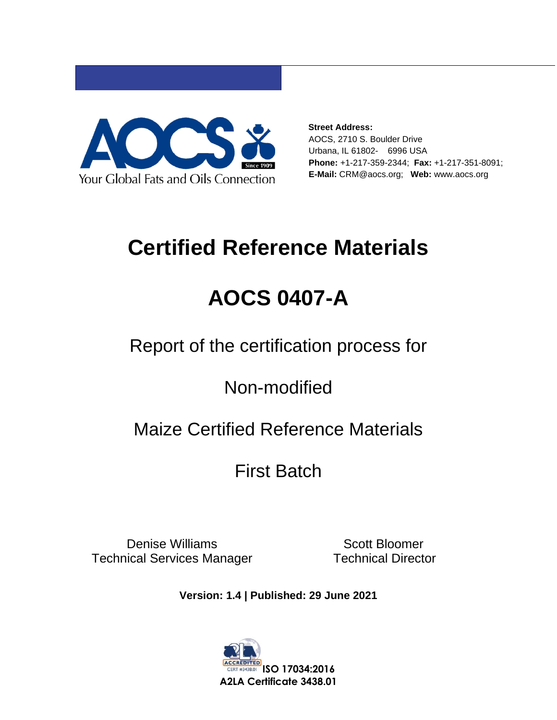

**Street Address:** AOCS, 2710 S. Boulder Drive Urbana, IL 61802- 6996 USA **Phone:** +1-217-359-2344; **Fax:** +1-217-351-8091; **E-Mail:** CRM@aocs.org; **Web:** www.aocs.org

# **Certified Reference Materials**

# **AOCS 0407-A**

Report of the certification process for

Non-modified

## Maize Certified Reference Materials

### First Batch

Denise Williams Technical Services Manager

 Scott Bloomer Technical Director

**Version: 1.4 | Published: 29 June 2021**

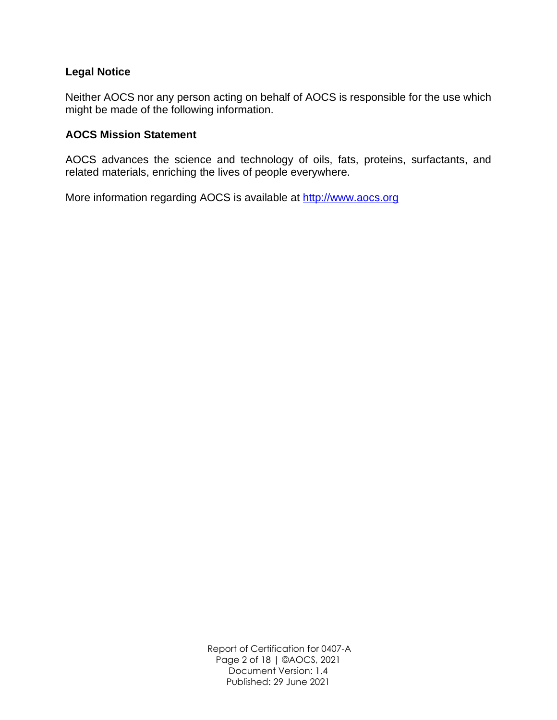#### **Legal Notice**

Neither AOCS nor any person acting on behalf of AOCS is responsible for the use which might be made of the following information.

#### **AOCS Mission Statement**

AOCS advances the science and technology of oils, fats, proteins, surfactants, and related materials, enriching the lives of people everywhere.

More information regarding AOCS is available at http://www.aocs.org

Report of Certification for 0407-A Page 2 of 18 | ©AOCS, 2021 Document Version: 1.4 Published: 29 June 2021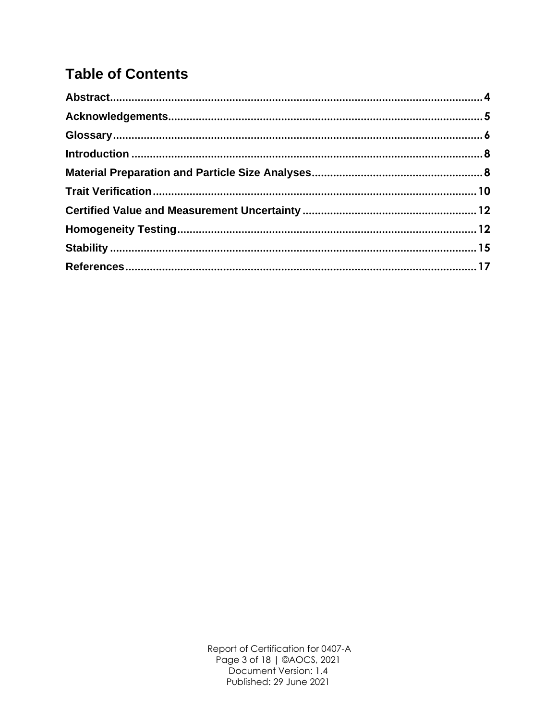### **Table of Contents**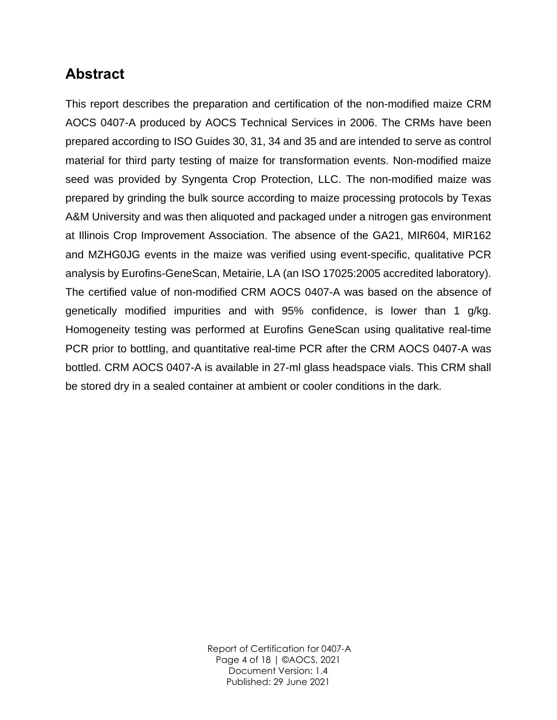#### <span id="page-3-0"></span>**Abstract**

This report describes the preparation and certification of the non-modified maize CRM AOCS 0407-A produced by AOCS Technical Services in 2006. The CRMs have been prepared according to ISO Guides 30, 31, 34 and 35 and are intended to serve as control material for third party testing of maize for transformation events. Non-modified maize seed was provided by Syngenta Crop Protection, LLC. The non-modified maize was prepared by grinding the bulk source according to maize processing protocols by Texas A&M University and was then aliquoted and packaged under a nitrogen gas environment at Illinois Crop Improvement Association. The absence of the GA21, MIR604, MIR162 and MZHG0JG events in the maize was verified using event-specific, qualitative PCR analysis by Eurofins-GeneScan, Metairie, LA (an ISO 17025:2005 accredited laboratory). The certified value of non-modified CRM AOCS 0407-A was based on the absence of genetically modified impurities and with 95% confidence, is lower than 1 g/kg. Homogeneity testing was performed at Eurofins GeneScan using qualitative real-time PCR prior to bottling, and quantitative real-time PCR after the CRM AOCS 0407-A was bottled. CRM AOCS 0407-A is available in 27-ml glass headspace vials. This CRM shall be stored dry in a sealed container at ambient or cooler conditions in the dark.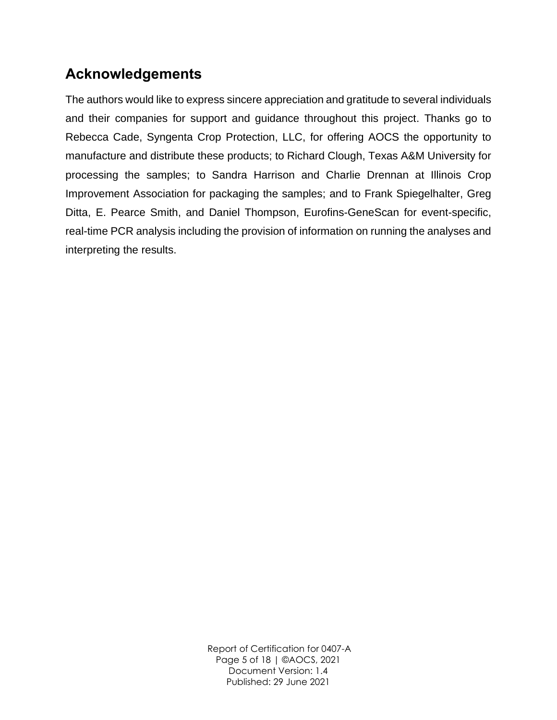#### <span id="page-4-0"></span>**Acknowledgements**

The authors would like to express sincere appreciation and gratitude to several individuals and their companies for support and guidance throughout this project. Thanks go to Rebecca Cade, Syngenta Crop Protection, LLC, for offering AOCS the opportunity to manufacture and distribute these products; to Richard Clough, Texas A&M University for processing the samples; to Sandra Harrison and Charlie Drennan at Illinois Crop Improvement Association for packaging the samples; and to Frank Spiegelhalter, Greg Ditta, E. Pearce Smith, and Daniel Thompson, Eurofins-GeneScan for event-specific, real-time PCR analysis including the provision of information on running the analyses and interpreting the results.

> Report of Certification for 0407-A Page 5 of 18 | ©AOCS, 2021 Document Version: 1.4 Published: 29 June 2021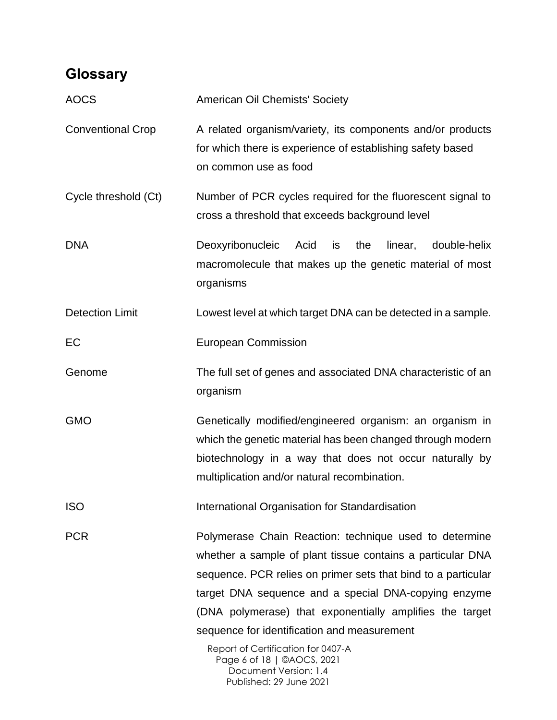### <span id="page-5-0"></span>**Glossary**

| <b>AOCS</b>              | <b>American Oil Chemists' Society</b>                                                                                                                                                                                                                                                                                                                                                                                                                                            |
|--------------------------|----------------------------------------------------------------------------------------------------------------------------------------------------------------------------------------------------------------------------------------------------------------------------------------------------------------------------------------------------------------------------------------------------------------------------------------------------------------------------------|
| <b>Conventional Crop</b> | A related organism/variety, its components and/or products<br>for which there is experience of establishing safety based<br>on common use as food                                                                                                                                                                                                                                                                                                                                |
| Cycle threshold (Ct)     | Number of PCR cycles required for the fluorescent signal to<br>cross a threshold that exceeds background level                                                                                                                                                                                                                                                                                                                                                                   |
| <b>DNA</b>               | Deoxyribonucleic<br>the<br>Acid<br>is<br>linear,<br>double-helix<br>macromolecule that makes up the genetic material of most<br>organisms                                                                                                                                                                                                                                                                                                                                        |
| <b>Detection Limit</b>   | Lowest level at which target DNA can be detected in a sample.                                                                                                                                                                                                                                                                                                                                                                                                                    |
| EC                       | <b>European Commission</b>                                                                                                                                                                                                                                                                                                                                                                                                                                                       |
| Genome                   | The full set of genes and associated DNA characteristic of an<br>organism                                                                                                                                                                                                                                                                                                                                                                                                        |
| <b>GMO</b>               | Genetically modified/engineered organism: an organism in<br>which the genetic material has been changed through modern<br>biotechnology in a way that does not occur naturally by<br>multiplication and/or natural recombination.                                                                                                                                                                                                                                                |
| <b>ISO</b>               | International Organisation for Standardisation                                                                                                                                                                                                                                                                                                                                                                                                                                   |
| <b>PCR</b>               | Polymerase Chain Reaction: technique used to determine<br>whether a sample of plant tissue contains a particular DNA<br>sequence. PCR relies on primer sets that bind to a particular<br>target DNA sequence and a special DNA-copying enzyme<br>(DNA polymerase) that exponentially amplifies the target<br>sequence for identification and measurement<br>Report of Certification for 0407-A<br>Page 6 of 18   ©AOCS, 2021<br>Document Version: 1.4<br>Published: 29 June 2021 |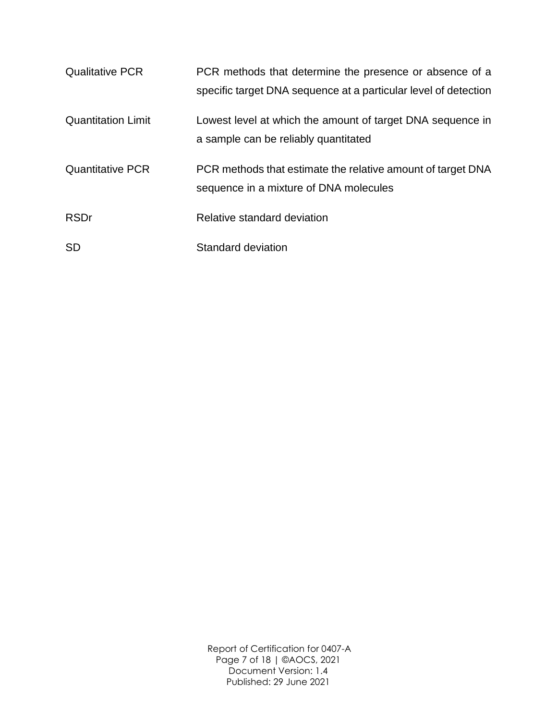| <b>Qualitative PCR</b>    | PCR methods that determine the presence or absence of a<br>specific target DNA sequence at a particular level of detection |
|---------------------------|----------------------------------------------------------------------------------------------------------------------------|
| <b>Quantitation Limit</b> | Lowest level at which the amount of target DNA sequence in<br>a sample can be reliably quantitated                         |
| <b>Quantitative PCR</b>   | PCR methods that estimate the relative amount of target DNA<br>sequence in a mixture of DNA molecules                      |
| <b>RSDr</b>               | Relative standard deviation                                                                                                |
| <b>SD</b>                 | Standard deviation                                                                                                         |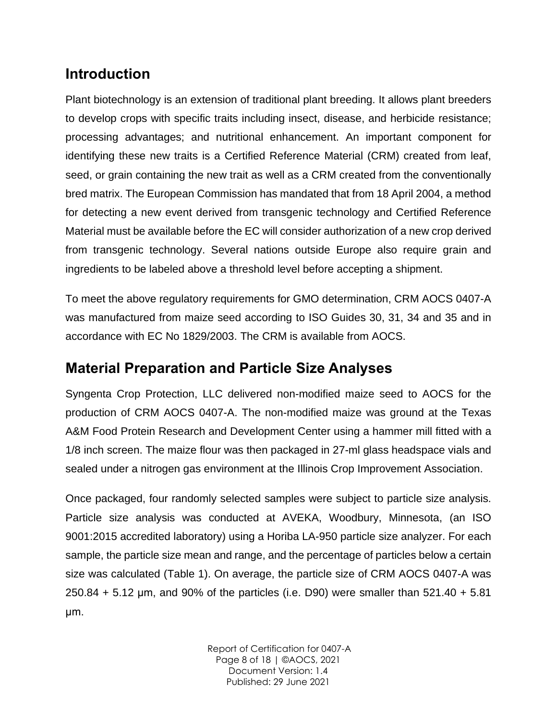#### <span id="page-7-0"></span>**Introduction**

Plant biotechnology is an extension of traditional plant breeding. It allows plant breeders to develop crops with specific traits including insect, disease, and herbicide resistance; processing advantages; and nutritional enhancement. An important component for identifying these new traits is a Certified Reference Material (CRM) created from leaf, seed, or grain containing the new trait as well as a CRM created from the conventionally bred matrix. The European Commission has mandated that from 18 April 2004, a method for detecting a new event derived from transgenic technology and Certified Reference Material must be available before the EC will consider authorization of a new crop derived from transgenic technology. Several nations outside Europe also require grain and ingredients to be labeled above a threshold level before accepting a shipment.

To meet the above regulatory requirements for GMO determination, CRM AOCS 0407-A was manufactured from maize seed according to ISO Guides 30, 31, 34 and 35 and in accordance with EC No 1829/2003. The CRM is available from AOCS.

#### <span id="page-7-1"></span>**Material Preparation and Particle Size Analyses**

Syngenta Crop Protection, LLC delivered non-modified maize seed to AOCS for the production of CRM AOCS 0407-A. The non-modified maize was ground at the Texas A&M Food Protein Research and Development Center using a hammer mill fitted with a 1/8 inch screen. The maize flour was then packaged in 27-ml glass headspace vials and sealed under a nitrogen gas environment at the Illinois Crop Improvement Association.

Once packaged, four randomly selected samples were subject to particle size analysis. Particle size analysis was conducted at AVEKA, Woodbury, Minnesota, (an ISO 9001:2015 accredited laboratory) using a Horiba LA-950 particle size analyzer. For each sample, the particle size mean and range, and the percentage of particles below a certain size was calculated (Table 1). On average, the particle size of CRM AOCS 0407-A was 250.84 + 5.12 μm, and 90% of the particles (i.e. D90) were smaller than 521.40 + 5.81 μm.

> Report of Certification for 0407-A Page 8 of 18 | ©AOCS, 2021 Document Version: 1.4 Published: 29 June 2021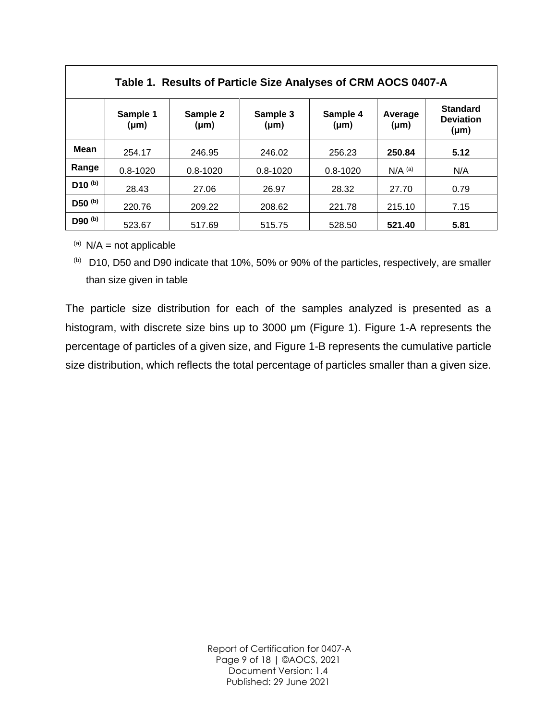| Table 1. Results of Particle Size Analyses of CRM AOCS 0407-A |                       |                       |                       |                       |                      |                                                  |
|---------------------------------------------------------------|-----------------------|-----------------------|-----------------------|-----------------------|----------------------|--------------------------------------------------|
|                                                               | Sample 1<br>$(\mu m)$ | Sample 2<br>$(\mu m)$ | Sample 3<br>$(\mu m)$ | Sample 4<br>$(\mu m)$ | Average<br>$(\mu m)$ | <b>Standard</b><br><b>Deviation</b><br>$(\mu m)$ |
| <b>Mean</b>                                                   | 254.17                | 246.95                | 246.02                | 256.23                | 250.84               | 5.12                                             |
| Range                                                         | $0.8 - 1020$          | $0.8 - 1020$          | $0.8 - 1020$          | $0.8 - 1020$          | $N/A$ (a)            | N/A                                              |
| $D10^{(b)}$                                                   | 28.43                 | 27.06                 | 26.97                 | 28.32                 | 27.70                | 0.79                                             |
| D50 (b)                                                       | 220.76                | 209.22                | 208.62                | 221.78                | 215.10               | 7.15                                             |
| D90 (b)                                                       | 523.67                | 517.69                | 515.75                | 528.50                | 521.40               | 5.81                                             |

 $(a)$  N/A = not applicable

The particle size distribution for each of the samples analyzed is presented as a histogram, with discrete size bins up to 3000 μm (Figure 1). Figure 1-A represents the percentage of particles of a given size, and Figure 1-B represents the cumulative particle size distribution, which reflects the total percentage of particles smaller than a given size.

<sup>(</sup>b) D10, D50 and D90 indicate that 10%, 50% or 90% of the particles, respectively, are smaller than size given in table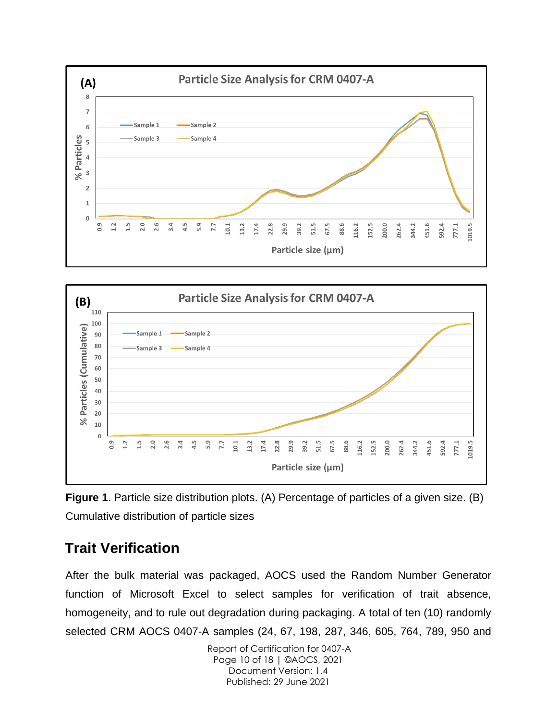



**Figure 1**. Particle size distribution plots. (A) Percentage of particles of a given size. (B) Cumulative distribution of particle sizes

#### <span id="page-9-0"></span>**Trait Verification**

After the bulk material was packaged, AOCS used the Random Number Generator function of Microsoft Excel to select samples for verification of trait absence, homogeneity, and to rule out degradation during packaging. A total of ten (10) randomly selected CRM AOCS 0407-A samples (24, 67, 198, 287, 346, 605, 764, 789, 950 and

> Report of Certification for 0407-A Page 10 of 18 | ©AOCS, 2021 Document Version: 1.4 Published: 29 June 2021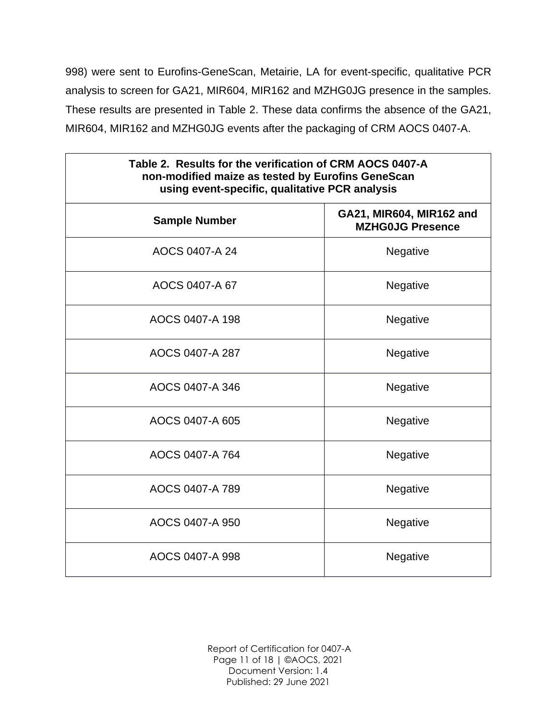998) were sent to Eurofins-GeneScan, Metairie, LA for event-specific, qualitative PCR analysis to screen for GA21, MIR604, MIR162 and MZHG0JG presence in the samples. These results are presented in Table 2. These data confirms the absence of the GA21, MIR604, MIR162 and MZHG0JG events after the packaging of CRM AOCS 0407-A.

| Table 2. Results for the verification of CRM AOCS 0407-A<br>non-modified maize as tested by Eurofins GeneScan<br>using event-specific, qualitative PCR analysis |                                                     |
|-----------------------------------------------------------------------------------------------------------------------------------------------------------------|-----------------------------------------------------|
| <b>Sample Number</b>                                                                                                                                            | GA21, MIR604, MIR162 and<br><b>MZHG0JG Presence</b> |
| AOCS 0407-A 24                                                                                                                                                  | Negative                                            |
| AOCS 0407-A 67                                                                                                                                                  | Negative                                            |
| AOCS 0407-A 198                                                                                                                                                 | Negative                                            |
| AOCS 0407-A 287                                                                                                                                                 | Negative                                            |
| AOCS 0407-A 346                                                                                                                                                 | Negative                                            |
| AOCS 0407-A 605                                                                                                                                                 | Negative                                            |
| AOCS 0407-A 764                                                                                                                                                 | Negative                                            |
| AOCS 0407-A 789                                                                                                                                                 | Negative                                            |
| AOCS 0407-A 950                                                                                                                                                 | Negative                                            |
| AOCS 0407-A 998                                                                                                                                                 | Negative                                            |

Report of Certification for 0407-A Page 11 of 18 | ©AOCS, 2021 Document Version: 1.4 Published: 29 June 2021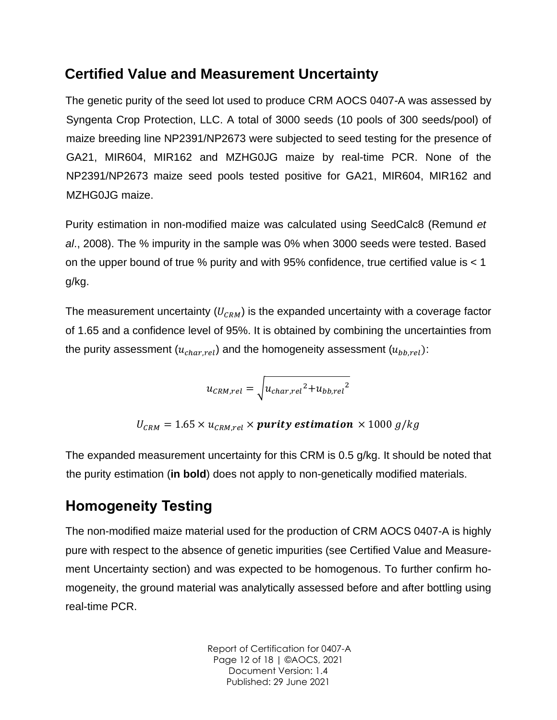#### <span id="page-11-0"></span>**Certified Value and Measurement Uncertainty**

The genetic purity of the seed lot used to produce CRM AOCS 0407-A was assessed by Syngenta Crop Protection, LLC. A total of 3000 seeds (10 pools of 300 seeds/pool) of maize breeding line NP2391/NP2673 were subjected to seed testing for the presence of GA21, MIR604, MIR162 and MZHG0JG maize by real-time PCR. None of the NP2391/NP2673 maize seed pools tested positive for GA21, MIR604, MIR162 and MZHG0JG maize.

Purity estimation in non-modified maize was calculated using SeedCalc8 (Remund *et al*., 2008). The % impurity in the sample was 0% when 3000 seeds were tested. Based on the upper bound of true % purity and with 95% confidence, true certified value is < 1 g/kg.

The measurement uncertainty ( $U_{CRM}$ ) is the expanded uncertainty with a coverage factor of 1.65 and a confidence level of 95%. It is obtained by combining the uncertainties from the purity assessment  $(u_{char\, rel})$  and the homogeneity assessment  $(u_{ph\, rel})$ :

$$
u_{CRM,rel} = \sqrt{u_{char,rel}^2 + u_{bb,rel}^2}
$$

$$
U_{\text{CRM}} = 1.65 \times u_{\text{CRM},\text{rel}} \times \text{purity estimation} \times 1000 \text{ g/kg}
$$

The expanded measurement uncertainty for this CRM is 0.5 g/kg. It should be noted that the purity estimation (**in bold**) does not apply to non-genetically modified materials.

#### <span id="page-11-1"></span>**Homogeneity Testing**

The non-modified maize material used for the production of CRM AOCS 0407-A is highly pure with respect to the absence of genetic impurities (see Certified Value and Measurement Uncertainty section) and was expected to be homogenous. To further confirm homogeneity, the ground material was analytically assessed before and after bottling using real-time PCR.

> Report of Certification for 0407-A Page 12 of 18 | ©AOCS, 2021 Document Version: 1.4 Published: 29 June 2021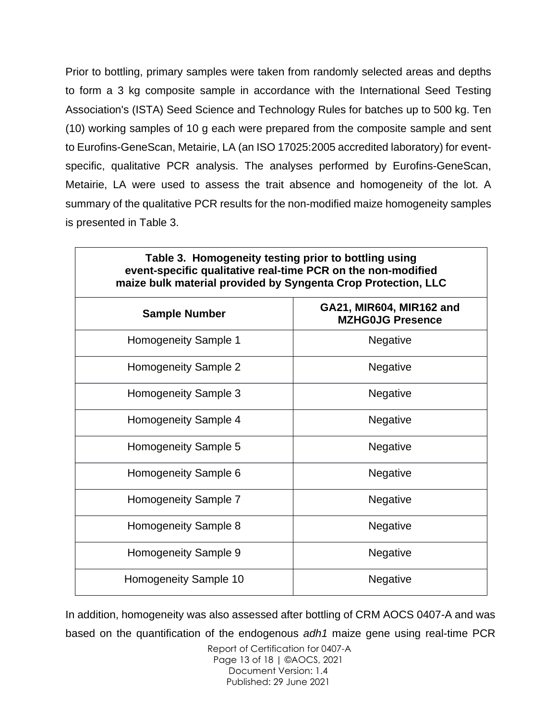Prior to bottling, primary samples were taken from randomly selected areas and depths to form a 3 kg composite sample in accordance with the International Seed Testing Association's (ISTA) Seed Science and Technology Rules for batches up to 500 kg. Ten (10) working samples of 10 g each were prepared from the composite sample and sent to Eurofins-GeneScan, Metairie, LA (an ISO 17025:2005 accredited laboratory) for eventspecific, qualitative PCR analysis. The analyses performed by Eurofins-GeneScan, Metairie, LA were used to assess the trait absence and homogeneity of the lot. A summary of the qualitative PCR results for the non-modified maize homogeneity samples is presented in Table 3.

| Table 3. Homogeneity testing prior to bottling using<br>event-specific qualitative real-time PCR on the non-modified<br>maize bulk material provided by Syngenta Crop Protection, LLC |                                                     |
|---------------------------------------------------------------------------------------------------------------------------------------------------------------------------------------|-----------------------------------------------------|
| <b>Sample Number</b>                                                                                                                                                                  | GA21, MIR604, MIR162 and<br><b>MZHG0JG Presence</b> |
| Homogeneity Sample 1                                                                                                                                                                  | <b>Negative</b>                                     |
| Homogeneity Sample 2                                                                                                                                                                  | <b>Negative</b>                                     |
| Homogeneity Sample 3                                                                                                                                                                  | <b>Negative</b>                                     |
| Homogeneity Sample 4                                                                                                                                                                  | Negative                                            |
| Homogeneity Sample 5                                                                                                                                                                  | Negative                                            |
| Homogeneity Sample 6                                                                                                                                                                  | Negative                                            |
| Homogeneity Sample 7                                                                                                                                                                  | Negative                                            |
| Homogeneity Sample 8                                                                                                                                                                  | Negative                                            |
| Homogeneity Sample 9                                                                                                                                                                  | <b>Negative</b>                                     |
| Homogeneity Sample 10                                                                                                                                                                 | Negative                                            |

**Table 3. Homogeneity testing prior to bottling using**

 $\Gamma$ 

In addition, homogeneity was also assessed after bottling of CRM AOCS 0407-A and was based on the quantification of the endogenous *adh1* maize gene using real-time PCR

> Report of Certification for 0407-A Page 13 of 18 | ©AOCS, 2021 Document Version: 1.4 Published: 29 June 2021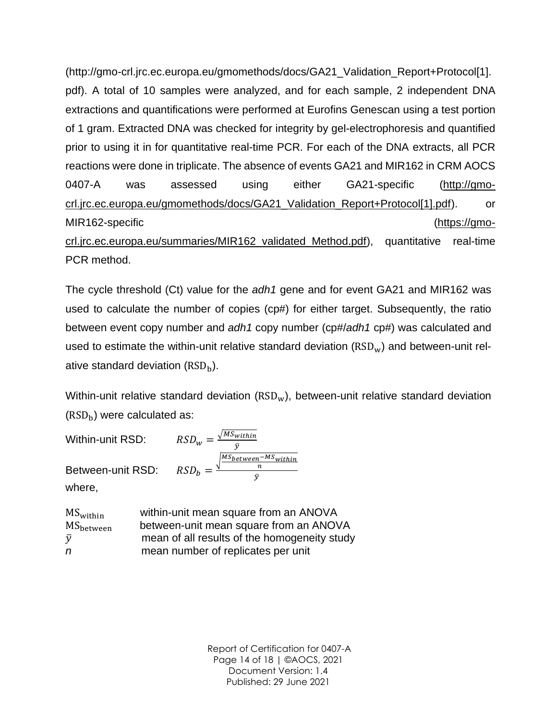(http://gmo-crl.jrc.ec.europa.eu/gmomethods/docs/GA21\_Validation\_Report+Protocol[1]. pdf). A total of 10 samples were analyzed, and for each sample, 2 independent DNA extractions and quantifications were performed at Eurofins Genescan using a test portion of 1 gram. Extracted DNA was checked for integrity by gel-electrophoresis and quantified prior to using it in for quantitative real-time PCR. For each of the DNA extracts, all PCR reactions were done in triplicate. The absence of events GA21 and MIR162 in CRM AOCS 0407-A was assessed using either GA21-specific [\(http://gmo](http://gmo-crl.jrc.ec.europa.eu/gmomethods/docs/GA21_Validation_Report+Protocol%5b1%5d.pdf)[crl.jrc.ec.europa.eu/gmomethods/docs/GA21\\_Validation\\_Report+Protocol\[1\].pdf\)](http://gmo-crl.jrc.ec.europa.eu/gmomethods/docs/GA21_Validation_Report+Protocol%5b1%5d.pdf). or MIR162-specific [\(https://gmo](https://gmo-crl.jrc.ec.europa.eu/summaries/MIR162_validated_Method.pdf)[crl.jrc.ec.europa.eu/summaries/MIR162\\_validated\\_Method.pdf\)](https://gmo-crl.jrc.ec.europa.eu/summaries/MIR162_validated_Method.pdf), quantitative real-time PCR method.

The cycle threshold (Ct) value for the *adh1* gene and for event GA21 and MIR162 was used to calculate the number of copies (cp#) for either target. Subsequently, the ratio between event copy number and *adh1* copy number (cp#/*adh1* cp#) was calculated and used to estimate the within-unit relative standard deviation  $(RSD<sub>w</sub>)$  and between-unit relative standard deviation  $(RSD<sub>b</sub>)$ .

Within-unit relative standard deviation  $(RSD_w)$ , between-unit relative standard deviation  $(RSD<sub>b</sub>)$  were calculated as:

| Within-unit RSD:  | $RSD_w = \frac{\sqrt{MS_{within}}}{\sqrt{MS_{within}}}$              |
|-------------------|----------------------------------------------------------------------|
| Between-unit RSD: | $\vert MS_{between}$ – $MS_{within}$<br>$RSD_h = \frac{\sqrt{2}}{2}$ |
| $\cdots$          |                                                                      |

where,

| $MS_{within}$         | within-unit mean square from an ANOVA        |
|-----------------------|----------------------------------------------|
| MS <sub>between</sub> | between-unit mean square from an ANOVA       |
| $\bar{\nu}$           | mean of all results of the homogeneity study |
| n                     | mean number of replicates per unit           |

Report of Certification for 0407-A Page 14 of 18 | ©AOCS, 2021 Document Version: 1.4 Published: 29 June 2021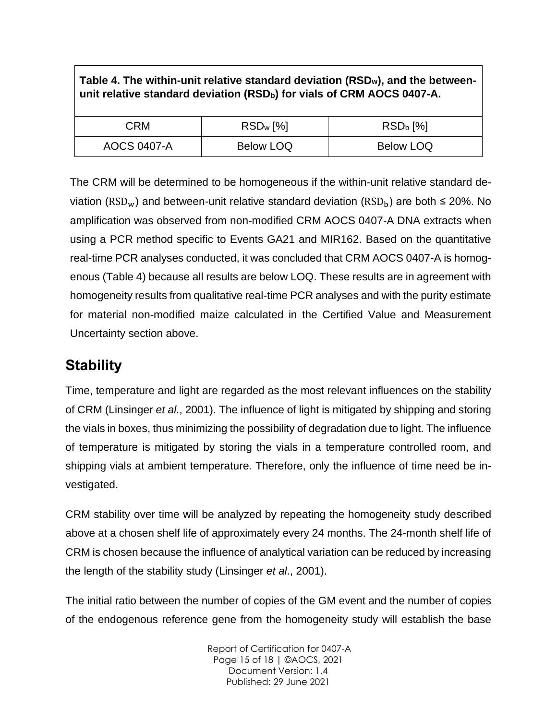## **Table 4. The within-unit relative standard deviation (RSDw), and the betweenunit relative standard deviation (RSDb) for vials of CRM AOCS 0407-A.**  $CRM$  RSD<sub>w</sub> [%] RSD<sub>b</sub> [%] AOCS 0407-A **Below LOQ** Below LOQ

The CRM will be determined to be homogeneous if the within-unit relative standard deviation (RSD<sub>w</sub>) and between-unit relative standard deviation (RSD<sub>b</sub>) are both  $\leq$  20%. No amplification was observed from non-modified CRM AOCS 0407-A DNA extracts when using a PCR method specific to Events GA21 and MIR162. Based on the quantitative real-time PCR analyses conducted, it was concluded that CRM AOCS 0407-A is homogenous (Table 4) because all results are below LOQ. These results are in agreement with homogeneity results from qualitative real-time PCR analyses and with the purity estimate for material non-modified maize calculated in the Certified Value and Measurement Uncertainty section above.

### <span id="page-14-0"></span>**Stability**

Time, temperature and light are regarded as the most relevant influences on the stability of CRM (Linsinger *et al*., 2001). The influence of light is mitigated by shipping and storing the vials in boxes, thus minimizing the possibility of degradation due to light. The influence of temperature is mitigated by storing the vials in a temperature controlled room, and shipping vials at ambient temperature. Therefore, only the influence of time need be investigated.

CRM stability over time will be analyzed by repeating the homogeneity study described above at a chosen shelf life of approximately every 24 months. The 24-month shelf life of CRM is chosen because the influence of analytical variation can be reduced by increasing the length of the stability study (Linsinger *et al*., 2001).

The initial ratio between the number of copies of the GM event and the number of copies of the endogenous reference gene from the homogeneity study will establish the base

> Report of Certification for 0407-A Page 15 of 18 | ©AOCS, 2021 Document Version: 1.4 Published: 29 June 2021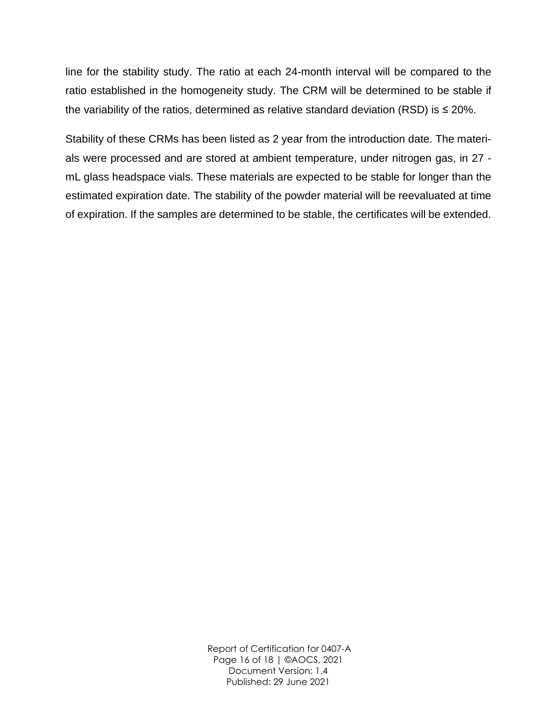line for the stability study. The ratio at each 24-month interval will be compared to the ratio established in the homogeneity study. The CRM will be determined to be stable if the variability of the ratios, determined as relative standard deviation (RSD) is  $\leq$  20%.

Stability of these CRMs has been listed as 2 year from the introduction date. The materials were processed and are stored at ambient temperature, under nitrogen gas, in 27 mL glass headspace vials. These materials are expected to be stable for longer than the estimated expiration date. The stability of the powder material will be reevaluated at time of expiration. If the samples are determined to be stable, the certificates will be extended.

> Report of Certification for 0407-A Page 16 of 18 | ©AOCS, 2021 Document Version: 1.4 Published: 29 June 2021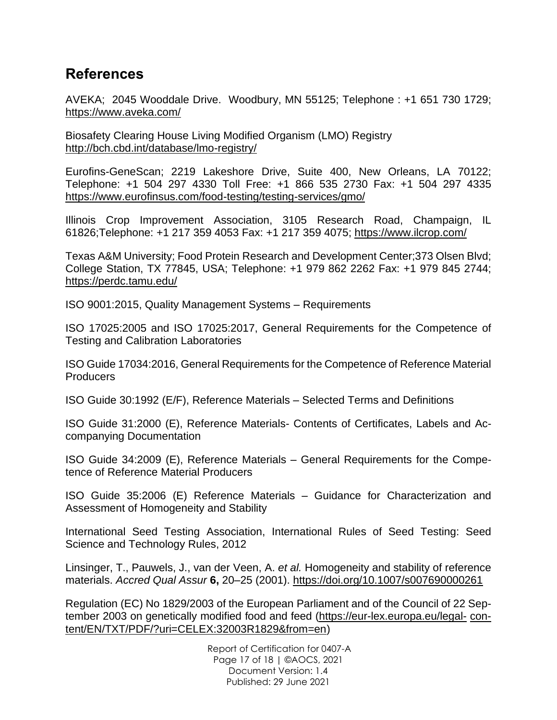#### <span id="page-16-0"></span>**References**

AVEKA; 2045 Wooddale Drive. Woodbury, MN 55125; Telephone : +1 651 730 1729; <https://www.aveka.com/>

Biosafety Clearing House Living Modified Organism (LMO) Registry <http://bch.cbd.int/database/lmo-registry/>

Eurofins-GeneScan; 2219 Lakeshore Drive, Suite 400, New Orleans, LA 70122; Telephone: +1 504 297 4330 Toll Free: +1 866 535 2730 Fax: +1 504 297 4335 <https://www.eurofinsus.com/food-testing/testing-services/gmo/>

Illinois Crop Improvement Association, 3105 Research Road, Champaign, IL 61826;Telephone: +1 217 359 4053 Fax: +1 217 359 4075; <https://www.ilcrop.com/>

Texas A&M University; Food Protein Research and Development Center;373 Olsen Blvd; College Station, TX 77845, USA; Telephone: +1 979 862 2262 Fax: +1 979 845 2744; <https://perdc.tamu.edu/>

ISO 9001:2015, Quality Management Systems – Requirements

ISO 17025:2005 and ISO 17025:2017, General Requirements for the Competence of Testing and Calibration Laboratories

ISO Guide 17034:2016, General Requirements for the Competence of Reference Material Producers

ISO Guide 30:1992 (E/F), Reference Materials – Selected Terms and Definitions

ISO Guide 31:2000 (E), Reference Materials- Contents of Certificates, Labels and Accompanying Documentation

ISO Guide 34:2009 (E), Reference Materials – General Requirements for the Competence of Reference Material Producers

ISO Guide 35:2006 (E) Reference Materials – Guidance for Characterization and Assessment of Homogeneity and Stability

International Seed Testing Association, International Rules of Seed Testing: Seed Science and Technology Rules, 2012

Linsinger, T., Pauwels, J., van der Veen, A. *et al.* Homogeneity and stability of reference materials. *Accred Qual Assur* **6,** 20–25 (2001).<https://doi.org/10.1007/s007690000261>

Regulation (EC) No 1829/2003 of the European Parliament and of the Council of 22 September 2003 on genetically modified food and feed [\(https://eur-lex.europa.eu/legal-](https://eur-lex.europa.eu/legal-content/EN/TXT/PDF/?uri=CELEX%3A32003R1829&from=en) [con](https://eur-lex.europa.eu/legal-content/EN/TXT/PDF/?uri=CELEX%3A32003R1829&from=en)[tent/EN/TXT/PDF/?uri=CELEX:32003R1829&from=en\)](https://eur-lex.europa.eu/legal-content/EN/TXT/PDF/?uri=CELEX%3A32003R1829&from=en)

> Report of Certification for 0407-A Page 17 of 18 | ©AOCS, 2021 Document Version: 1.4 Published: 29 June 2021